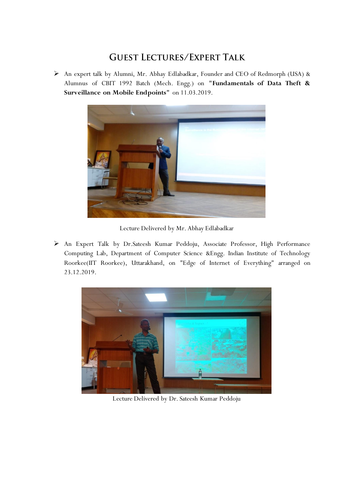## **GUEST LECTURES/EXPERT TALK**

 An expert talk by Alumni, Mr. Abhay Edlabadkar, Founder and CEO of Redmorph (USA) & Alumnus of CBIT 1992 Batch (Mech. Engg.) on **"Fundamentals of Data Theft & Surveillance on Mobile Endpoints"** on 11.03.2019.



Lecture Delivered by Mr. Abhay Edlabadkar

 An Expert Talk by Dr.Sateesh Kumar Peddoju, Associate Professor, High Performance Computing Lab, Department of Computer Science &Engg. Indian Institute of Technology Roorkee(IIT Roorkee), Uttarakhand, on "Edge of Internet of Everything" arranged on 23.12.2019.



Lecture Delivered by Dr. Sateesh Kumar Peddoju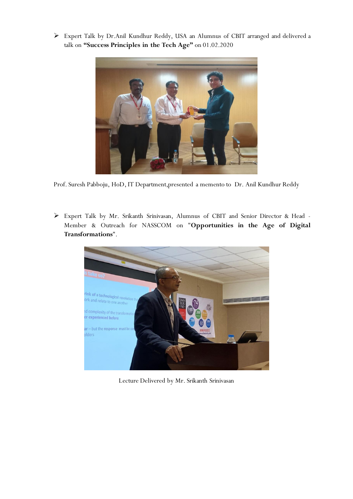Expert Talk by Dr.Anil Kundhur Reddy, USA an Alumnus of CBIT arranged and delivered a talk on **"Success Principles in the Tech Age"** on 01.02.2020



Prof. Suresh Pabboju, HoD, IT Department,presented a memento to Dr. Anil Kundhur Reddy

 Expert Talk by Mr. Srikanth Srinivasan, Alumnus of CBIT and Senior Director & Head - Member & Outreach for NASSCOM on "**Opportunities in the Age of Digital Transformations**".



Lecture Delivered by Mr. Srikanth Srinivasan